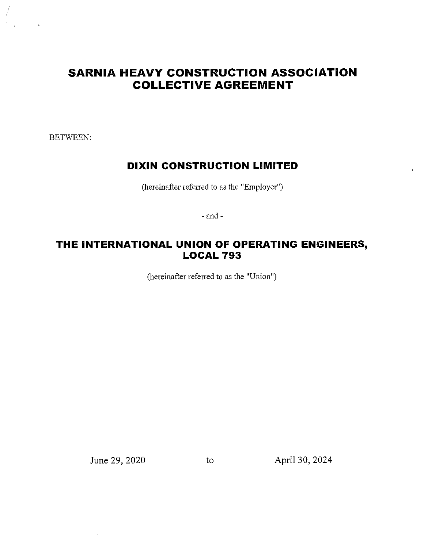# **SARNIA HEAVY CONSTRUCTION ASSOCIATION COLLECTIVE AGREEMENT**

BETWEEN:

## **DIXIN CONSTRUCTION LIMITED**

(hereinafter referred to as the "Employer")

- and-

## **THE INTERNATIONAL UNION OF OPERATING ENGINEERS, LOCAL 793**

(hereinafter referred to as the "Union")

June 29, 2020 to April 30, 2024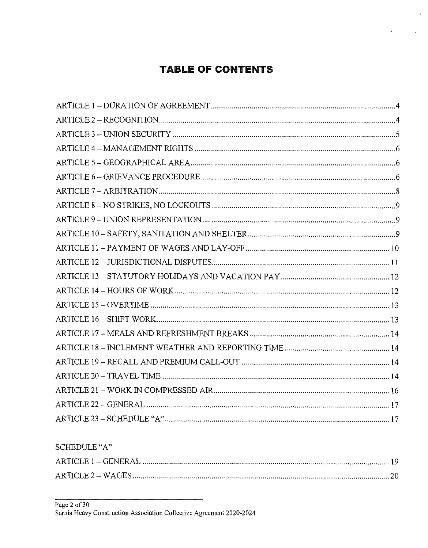# **TABLE OF CONTENTS**

 $\bar{\alpha}$ 

 $\mathcal{L}_{\mathbf{r}}$  .

 $\mathbf{K}^{(n)}$  .

SCHEDULE "A"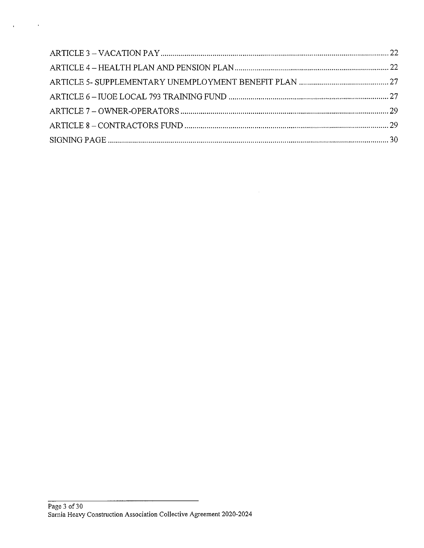$\label{eq:1} \mathbf{q} = \mathbf{q} \mathbf{q} + \mathbf{q} \mathbf{q} + \mathbf{q} \mathbf{q} + \mathbf{q} \mathbf{q}$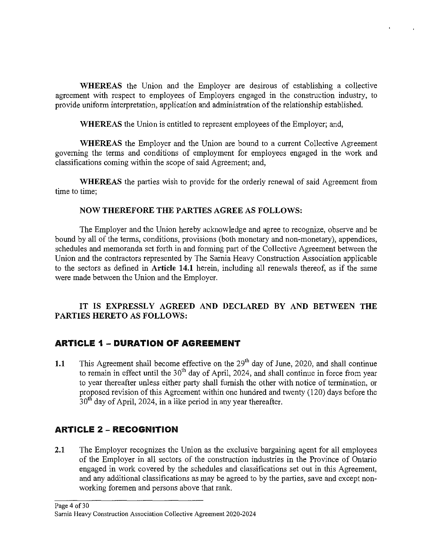**WHEREAS** the Union and the Employer are desirous of establishing a collective agreement with respect to employees of Employers engaged in the construction industry, to provide uniform interpretation, application and administration of the relationship established.

**WHEREAS** the Union is entitled to represent employees of the Employer; and,

**WHEREAS** the Employer and the Union are bound to a current Collective Agreement governing the terms and conditions of employment for employees engaged in the work and classifications coming within the scope of said Agreement; and,

**WHEREAS** the parties wish to provide for the orderly renewal of said Agreement from time to time;

#### **NOW THEREFORE THE PARTIES AGREE AS FOLLOWS:**

The Employer and the Union hereby acknowledge and agree to recognize, observe and be bound by all of the terms, conditions, provisions (both monetary and non-monetary), appendices, schedules and memoranda set forth in and forming part of the Collective Agreement between the Union and the contractors represented by The Sarnia Heavy Construction Association applicable to the sectors as defined in **Article 14.1** herein, including all renewals thereof, as if the same were made between the Union and the Employer.

#### **IT IS EXPRESSLY AGREED AND DECLARED BY AND BETWEEN THE PARTIES HERETO AS FOLLOWS:**

## **ARTICLE 1 - DURATION Of AGREEMENT**

**1.1** This Agreement shall become effective on the 29<sup>th</sup> day of June, 2020, and shall continue to remain in effect until the  $30<sup>th</sup>$  day of April, 2024, and shall continue in force from year to year thereafter unless either party shall furnish the other with notice of termination, or proposed revision of this Agreement within one hundred and twenty (120) days before the  $30<sup>th</sup>$  day of April, 2024, in a like period in any year thereafter.

## **ARTICLE 2 - RECOGNITION**

**2.1** The Employer recognizes the Union as the exclusive bargaining agent for all employees of the Employer in all sectors of the construction industries in the Province of Ontario engaged in work covered by the schedules and classifications set out in this Agreement, and any additional classifications as may be agreed to by the parties, save and except nonworking foremen and persons above that rank.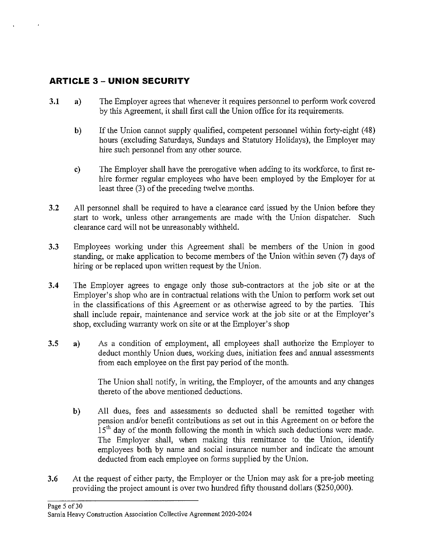## **ARTICLE 3 - UNION SECURITY**

- **3.1 a)** The Employer agrees that whenever it requires personnel to perform work covered by this Agreement, it shall first call the Union office for its requirements.
	- **b**) If the Union cannot supply qualified, competent personnel within forty-eight (48) hours (excluding Saturdays, Sundays and Statutory Holidays), the Employer may hire such personnel from any other source.
	- **c)** The Employer shall have the prerogative when adding to its workforce, to first rehire former regular employees who have been employed by the Employer for at least three (3) of the preceding twelve months.
- **3.2** All personnel shall be required to have a clearance card issued by the Union before they start to work, unless other arrangements are made with the Union dispatcher. Such clearance card will not be unreasonably withheld.
- **3.3** Employees working under this Agreement shall be members of the Union in good standing, or make application to become members of the Union within seven (7) days of hiring or be replaced upon written request by the Union.
- **3.4** The Employer agrees to engage only those sub-contractors at the job site or at the Employer's shop who are in contractual relations with the Union to perform work set out in the classifications of this Agreement or as otherwise agreed to by the parties. This shall include repair, maintenance and service work at the job site or at the Employer's shop, excluding warranty work on site or at the Employer's shop
- **3.5 a)** As a condition of employment, all employees shall authorize the Employer to deduct monthly Union dues, working dues, initiation fees and annual assessments from each employee on the first pay period of the month.

The Union shall notify, in writing, the Employer, of the amounts and any changes thereto of the above mentioned deductions.

- **b)** All dues, fees and assessments so deducted shall be remitted together with pension and/or benefit contributions as set out in this Agreement on or before the  $15<sup>th</sup>$  day of the month following the month in which such deductions were made. The Employer shall, when making this remittance to the Union, identify employees both by name and social insurance number and indicate the amount deducted from each employee on forms supplied by the Union.
- **3.6** At the request of either party, the Employer or the Union may ask for a pre-job meeting providing the project amount is over two hundred fifty thousand dollars (\$250,000).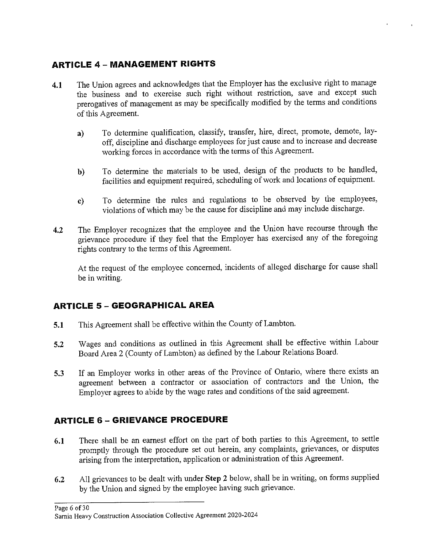## **ARTICLE 4 - MANAGEMENT RIGHTS**

- **4.1** The Union agrees and acknowledges that the Employer has the exclusive right to manage the business and to exercise such right without restriction, save and except such prerogatives of management as may be specifically modified by the terms and conditions of this Agreement.
	- **a)** To determine qualification, classify, transfer, hire, direct, promote, demote, layoff, discipline and discharge employees for just cause and to increase and decrease working forces in accordance with the terms of this Agreement.
	- **b)** To determine the materials to be used, design of the products to be handled, facilities and equipment required, scheduling of work and locations of equipment.
	- **c)** To determine the rules and regulations to be observed by the employees, violations of which may be the cause for discipline and may include discharge.
- **4.2** The Employer recognizes that the employee and the Union have recourse through the grievance procedure if they feel that the Employer has exercised any of the foregoing rights contrary to the terms of this Agreement.

At the request of the employee concerned, incidents of alleged discharge for cause shall be in writing.

## **ARTICLE 5 - GEOGRAPHICAL AREA**

- **5.1** This Agreement shall be effective within the County of Lambton.
- **5.2** Wages and conditions as outlined in this Agreement shall be effective within Labour Board Area 2 (County of Lambton) as defined by the Labour Relations Board.
- **5.3** If an Employer works in other areas of the Province of Ontario, where there exists an agreement between a contractor or association of contractors and the Union, the Employer agrees to abide by the wage rates and conditions of the said agreement.

## **ARTICLE 6 - GRIEVANCE PROCEDURE**

- **6.1** There shall be an earnest effort on the part of both parties to this Agreement, to settle promptly through the procedure set out herein, any complaints, grievances, or disputes arising from the interpretation, application or administration of this Agreement.
- **6.2** All grievances to be dealt with under **Step 2** below, shall be in writing, on forms supplied by the Union and signed by the employee having such grievance.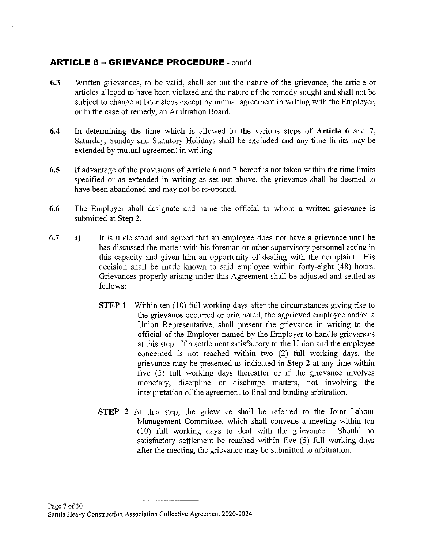## **ARTICLE 6 - GRIEVANCE PROCEDURE** - cont'd

- **6.3** Written grievances, to be valid, shall set out the nature of the grievance, the article or articles alleged to have been violated and the nature of the remedy sought and shall not be subject to change at later steps except by mutual agreement in writing with the Employer, or in the case of remedy, an Arbitration Board.
- **6.4** In determining the time which is allowed in the various steps of **Article 6 and 7,**  Saturday, Sunday and Statutory Holidays shall be excluded and any time limits may be extended by mutual agreement in writing.
- **6.5** If advantage of the provisions of **Article 6** and **7** hereof is not taken within the time limits specified or as extended in writing as set out above, the grievance shall be deemed to have been abandoned and may not be re-opened.
- **6.6** The Employer shall designate and name the official to whom a written grievance is submitted at **Step 2.**
- **6.7 a)**  It is understood and agreed that an employee does not have a grievance until he has discussed the matter with his foreman or other supervisory personnel acting in this capacity and given him an opportunity of dealing with the complaint. His decision shall be made known to said employee within forty-eight ( 48) hours. Grievances properly arising under this Agreement shall be adjusted and settled as follows:
	- **STEP 1** Within ten (10) full working days after the circumstances giving rise to the grievance occurred or originated, the aggrieved employee and/or a Union Representative, shall present the grievance in writing to the official of the Employer named by the Employer to handle grievances at this step. If a settlement satisfactory to the Union and the employee concerned is not reached within two (2) full working days, the grievance may be presented as indicated in **Step 2** at any time within five (5) full working days thereafter or if the grievance involves monetary, discipline or discharge matters, not involving the interpretation of the agreement to final and binding arbitration.
	- **STEP 2** At this step, the grievance shall be referred to the Joint Labour Management Committee, which shall convene a meeting within ten  $(10)$  full working days to deal with the grievance. Should no satisfactory settlement be reached within five (5) full working days after the meeting, the grievance may be submitted to arbitration.

#### Page 7 of 30 Sarnia Heavy Construction Association Collective Agreement 2020-2024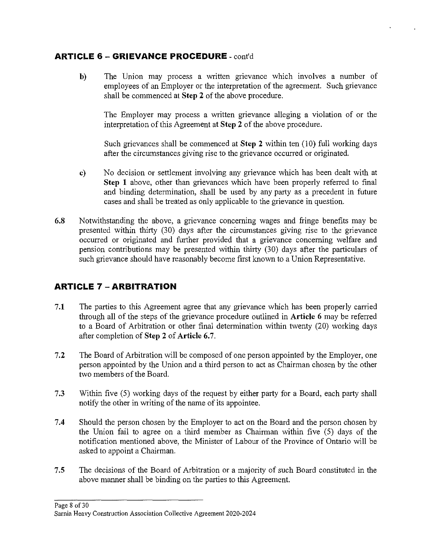## **ARTICLE 6 - GRIEVANCE PROCEDURE** - cont'd

**b)** The Union may process a written grievance which involves a number of employees of an Employer or the interpretation of the agreement. Such grievance shall be commenced at **Step 2** of the above procedure.

The Employer may process a written grievance alleging a violation of or the interpretation of this Agreement at **Step 2** of the above procedure.

Such grievances shall be commenced at **Step 2** within ten (10) full working days after the circumstances giving rise to the grievance occurred or originated.

- **c)** No decision or settlement involving any grievance which has been dealt with at **Step 1** above, other than grievances which have been properly referred to final and binding determination, shall be used by any party as a precedent in future cases and shall be treated as only applicable to the grievance in question.
- **6.8** Notwithstanding the above, a grievance concerning wages and fringe benefits may be presented within thirty (30) days after the circumstances giving rise to the grievance occurred or originated and further provided that a grievance concerning welfare and pension contributions may be presented within thirty (30) days after the particulars of such grievance should have reasonably become first known to a Union Representative.

## **ARTICLE 7 - ARBITRATION**

- **7.1** The parties to this Agreement agree that any grievance which has been properly carried through all of the steps of the grievance procedure outlined in **Article 6** may be referred to a Board of Arbitration or other final determination within twenty (20) working days after completion of **Step 2** of **Article 6.** 7.
- **7.2** The Board of Arbitration will be composed of one person appointed by the Employer, one person appointed by the Union and a third person to act as Chairman chosen by the other two members of the Board.
- 7.3 Within five (5) working days of the request by either party for a Board, each party shall notify the other in writing of the name of its appointee.
- **7.4** Should the person chosen by the Employer to act on the Board and the person chosen by the Union fail to agree on a third member as Chairman within five (5) days of the notification mentioned above, the Minister of Labour of the Province of Ontario will be asked to appoint a Chairman.
- **7.5** The decisions of the Board of Arbitration or a majority of such Board constituted in the above manner shall be binding on the parties to this Agreement.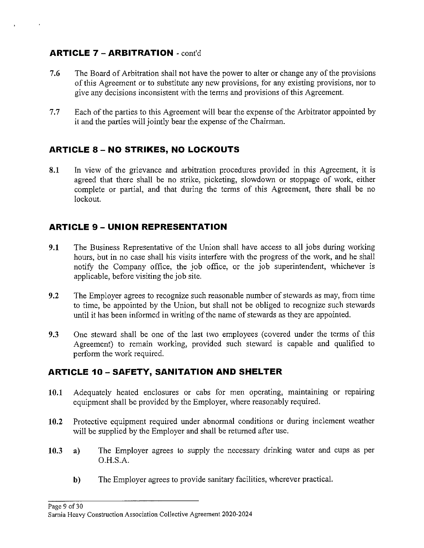## **ARTICLE 7 - ARBITRATION** - cont'd

 $\rightarrow$ 

- **7.6** The Board of Arbitration shall not have the power to alter or change any of the provisions of this Agreement or to substitute any new provisions, for any existing provisions, nor to give any decisions inconsistent with the terms and provisions of this Agreement.
- 7.7 Each of the parties to this Agreement will bear the expense of the Arbitrator appointed by it and the parties will jointly bear the expense of the Chairman.

## **ARTICLE 8 - NO STRIKES, NO LOCKOUTS**

**8.1** In view of the grievance and arbitration procedures provided in this Agreement, it is agreed that there shall be no strike, picketing, slowdown or stoppage of work, either complete or partial, and that during the terms of this Agreement, there shall be no lockout.

## **ARTICLE 9 - UNION REPRESENTATION**

- **9.1** The Business Representative of the Union shall have access to all jobs during working hours, but in no case shall his visits interfere with the progress of the work, and he shall notify the Company office, the job office, or the job superintendent, whichever is applicable, before visiting the job site.
- **9.2** The Employer agrees to recognize such reasonable number of stewards as may, from time to time, be appointed by the Union, but shall not be obliged to recognize such stewards until it has been informed in writing of the name of stewards as they are appointed.
- **9.3** One steward shall be one of the last two employees (covered under the terms of this Agreement) to remain working, provided such steward is capable and qualified to perform the work required.

## **ARTICLE 10-SAFETY, SANITATION AND SHELTER**

- 10.1 Adequately heated enclosures or cabs for men operating, maintaining or repairing equipment shall be provided by the Employer, where reasonably required.
- **10.2** Protective equipment required under abnormal conditions or during inclement weather will be supplied by the Employer and shall be returned after use.
- **10.3 a)** The Employer agrees to supply the necessary drinking water and cups as per O.H.S.A.
	- **b)** The Employer agrees to provide sanitary facilities, wherever practical.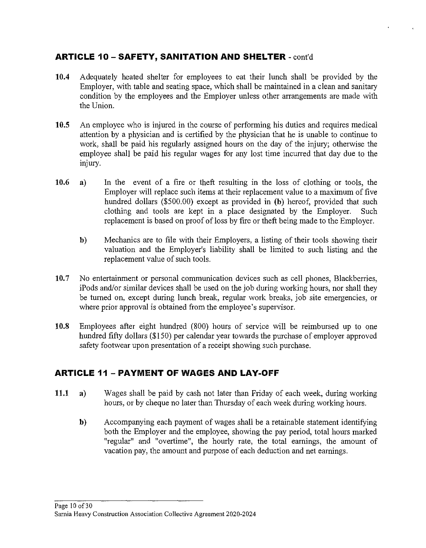## **ARTICLE 10 - SAFETY, SANITATION AND SHELTER** - cont'd

- **10.4** Adequately heated shelter for employees to eat their lunch shall be provided by the Employer, with table and seating space, which shall be maintained in a clean and sanitary condition by the employees and the Employer unless other arrangements are made with the Union.
- **10.5** An employee who is injured in the course of performing his duties and requires medical attention by a physician and is certified by the physician that he is unable to continue to work, shall be paid his regularly assigned hours on the day of the injury; otherwise the employee shall be paid his regular wages for any lost time incurred that day due to the injury.
- **10.6 a)** In the event of a fire or theft resulting in the loss of clothing or tools, the Employer will replace such items at their replacement value to a maximum of five hundred dollars (\$500.00) except as provided in **(b)** hereof, provided that such clothing and tools are kept in a place designated by the Employer. Such replacement is based on proof of loss by fire or theft being made to the Employer.
	- **b)** Mechanics are to file with their Employers, a listing of their tools showing their valuation and the Employer's liability shall be limited to such listing and the replacement value of such tools.
- 10.7 No entertainment or personal communication devices such as cell phones, Blackberries, iPods and/or similar devices shall be used on the job during working hours, nor shall they be turned on, except during lunch break, regular work breaks, job site emergencies, or where prior approval is obtained from the employee's supervisor.
- **10.8** Employees after eight hundred (800) hours of service will be reimbursed up to one hundred fifty dollars (\$150) per calendar year towards the purchase of employer approved safety footwear upon presentation of a receipt showing such purchase.

## **ARTICLE 11 - !PAYMENT OF WAGES AND LAY-OFF**

- **11.1 a)** Wages shall be paid by cash not later than Friday of each week, during working hours, or by cheque no later than Thursday of each week during working hours.
	- **b)** Accompanying each payment of wages shall be a retainable statement identifying both the Employer and the employee, showing the pay period, total hours marked "regular" and "overtime", the hourly rate, the total earnings, the amount of vacation pay, the amount and purpose of each deduction and net earnings.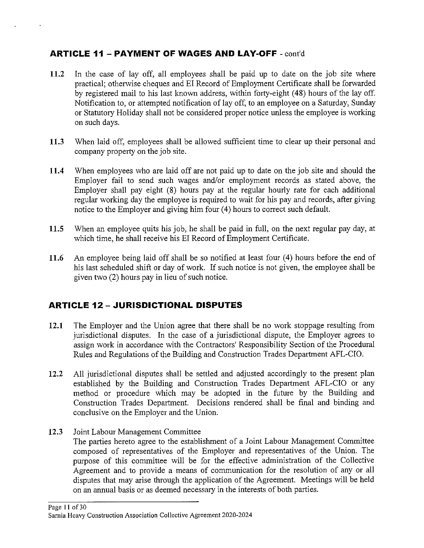## **ARTICLE 11 - PAYMENT OF WAGES AND LAY-OFF** - cont'd

 $\ddot{\phantom{1}}$ 

- **11.2** In the case of lay off, all employees shall be paid up to date on the job site where practical; otherwise cheques and EI Record of Employment Certificate shall be forwarded by registered mail to his last known address, within forty-eight ( 48) hours of the lay off. Notification to, or attempted notification of lay off, to an employee on a Saturday, Sunday or Statutory Holiday shall not be considered proper notice unless the employee is working on such days.
- **11.3** When laid off, employees shall be allowed sufficient time to clear up their personal and company property on the job site.
- **11.4** When employees who are laid off are not paid up to date on the job site and should the Employer fail to send such wages and/or employment records as stated above, the Employer shall pay eight (8) hours pay at the regular hourly rate for each additional regular working day the employee is required to wait for his pay and records, after giving notice to the Employer and giving him four (4) hours to correct such default.
- **11.5** When an employee quits his job, he shall be paid in full, on the next regular pay day, at which time, he shall receive his EI Record of Employment Certificate.
- **11.6** An employee being laid off shall be so notified at least four (4) hours before the end of his last scheduled shift or day of work. If such notice is not given, the employee shall be given two (2) hours pay in lieu of such notice.

## **ARTICLE 12 - JURISDICTIONAL DISPUTES**

- **12.1** The Employer and the Union agree that there shall be no work stoppage resulting from jurisdictional disputes. In the case of a jurisdictional dispute, the Employer agrees to assign work in accordance with the Contractors' Responsibility Section of the Procedural Rules and Regulations of the Building and Construction Trades Department AFL-CIO.
- **12.2** All jurisdictional disputes shall be settled and adjusted accordingly to the present plan established by the Building and Construction Trades Department AFL-CIO or any method or procedure which may be adopted in the future by the Building and Construction Trades Department. Decisions rendered shall be final and binding and conclusive on the Employer and the Union.
- **12.3** Joint Labour Management Committee The parties hereto agree to the establishment of a Joint Labour Management Committee composed of representatives of the Employer and representatives of the Union. The purpose of this committee will be for the effective administration of the Collective Agreement and to provide a means of communication for the resolution of any or all disputes that may arise through the application of the Agreement. Meetings will be held on an annual basis or as deemed necessary in the interests of both parties.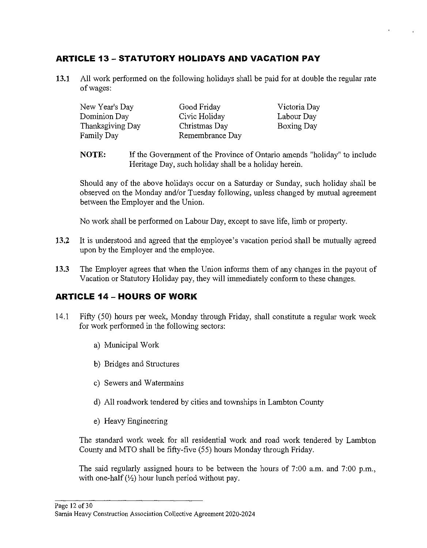## **ARTICLE 13 - STATUTORY HOLIDAYS AND VACATION PAY**

**13.1** All work performed on the following holidays shall be paid for at double the regular rate of wages:

| New Year's Day    | Good Friday     | Victoria Day |
|-------------------|-----------------|--------------|
| Dominion Day      | Civic Holiday   | Labour Day   |
| Thanksgiving Day  | Christmas Day   | Boxing Day   |
| <b>Family Day</b> | Remembrance Day |              |

**NOTE:** If the Government of the Province of Ontario amends "holiday" to include Heritage Day, such holiday shall be a holiday herein.

Should any of the above holidays occur on a Saturday or Sunday, such holiday shall be observed on the Monday and/or Tuesday following, unless changed by mutual agreement between the Employer and the Union.

No work shall be performed on Labour Day, except to save life, limb or property.

- **13.2** It is understood and agreed that the employee's vacation period shall be mutually agreed upon by the Employer and the employee.
- **13.3** The Employer agrees that when the Union informs them of any changes in the payout of Vacation or Statutory Holiday pay, they will immediately conform to these changes.

## **ARTICLE 14- HOURS Of WORK**

- 14.1 Fifty (50) hours per week, Monday through Friday, shall constitute a regular work week for work performed in the following sectors:
	- a) Municipal Work
	- b) Bridges and Structures
	- c) Sewers and Watermains
	- d) All roadwork tendered by cities and townships in Lambton County
	- e) Heavy Engineering

The standard work week for all residential work and road work tendered by Lambton County and MTO shall be fifty-five (55) hours Monday through Friday.

The said regularly assigned hours to be between the hours of 7:00 a.m. and 7:00 p.m., with one-half  $(\frac{1}{2})$  hour lunch period without pay.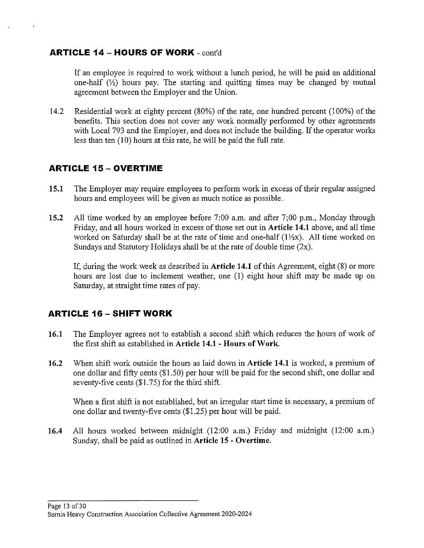#### **ARTICLE 14 - HOURS OF WORK** - cont'd

If an employee is required to work without a lunch period, he will be paid an additional one-half  $(\frac{1}{2})$  hours pay. The starting and quitting times may be changed by mutual agreement between the Employer and the Union.

14.2 Residential work at eighty percent (80%) of the rate, one hundred percent (100%) of the benefits. This section does not cover any work normally performed by other agreements with Local 793 and the Employer, and does not include the building. If the operator works less than ten (10) hours at this rate, he will be paid the full rate.

## **ARTICLE 15 - OVERTIME**

- **15.1** The Employer may require employees to perform work in excess of their regular assigned hours and employees will be given as much notice as possible.
- **15.2** All time worked by an employee before 7:00 a.m. and after 7;00 p.m., Monday through Friday, and all hours worked in excess of those set out in **Article 14.1** above, and all time worked on Saturday shall be at the rate of time and one-half  $(1/\chi x)$ . All time worked on Sundays and Statutory Holidays shall be at the rate of double time (2x).

If, during the work week as described in **Article 14.1** of this Agreement, eight (8) or more hours are lost due to inclement weather, one (I) eight hour shift may be made up on Saturday, at straight time rates of pay.

## **ARTICLE 16 - SHIFT WORK**

- **16.1** The Employer agrees not to establish a second shift which reduces the hours of work of the first shift as established in **Article 14.1 - Hours of Work.**
- **16.2** When shift work outside the hours as laid down in **Article 14.1** is worked, a premium of one dollar and fifty cents (\$1.50) per hour will be paid for the second shift, one dollar and seventy-five cents (\$1.75) for the third shift.

When a first shift is not established, but an irregular start time is necessary, a premium of one dollar and twenty-five cents (\$1.25) per hour will be paid.

**16.4** All hours worked between midnight (12:00 a.m.) Friday and midnight (12:00 a.m.) Sunday, shall be paid as outlined in **Article 15 - Overtime.** 

Page 13 of 30 Samia Heavy Construction Association Collective Agreement 2020-2024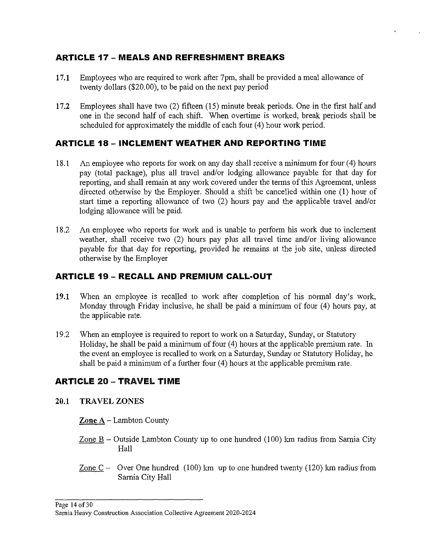## **ARTICLE 17- MEALS AND REFRESHMENT BREAKS**

- **17.1** Employees who are required to work after 7pm, shall be provided a meal allowance of twenty dollars (\$20.00), to be paid on the next pay period
- **17.2** Employees shall have two (2) fifteen (15) minute break periods. One in the first half and one in the second half of each shift. When overtime is worked, break periods shall be scheduled for approximately the middle of each four (4) hour work period.

## **ARTICLE 18- INCLEMENT WEATHER AND REPORTING TIME**

- 18.1 An employee who reports for work on any day shall receive a minimum for four (4) hours pay (total package), plus all travel and/or lodging allowance payable for that day for reporting, and shall remain at any work covered under the terms of this Agreement, unless directed otherwise by the Employer. Should a shift be cancelled within one (1) hour of start time a reporting allowance of two (2) hours pay and the applicable travel and/or lodging allowance will be paid.
- 18.2 An employee who reports for work and is unable to perform his work due to inclement weather, shall receive two (2) hours pay plus all travel time and/or living allowance payable for that day for reporting, provided he remains at the job site, unless directed otherwise by the Employer

## **ARTICLE 19- RECALL AND PREMIUM CALL-OUT**

- **19.1** When an employee is recalled to work after completion of his normal day's work, Monday through Friday inclusive, he shall be paid a minimum of four (4) hours pay, at the applicable rate.
- 19.2 When an employee is required to report to work on a Saturday, Sunday, or Statutory Holiday, he shall be paid a minimum of four (4) hours at the applicable premium rate. In the event an employee is recalled to work on a Saturday, Sunday or Statutory Holiday, he shall be paid a minimum of a further four (4) hours at the applicable premium rate.

## **ARTICLE 20 -TRAVEL TIME**

**20.1 TRAVEL ZONES** 

**Zone A** - Larnbton County

- Zone  $B -$  Outside Lambton County up to one hundred (100) km radius from Sarnia City Hall
- Zone  $C -$  Over One hundred (100) km up to one hundred twenty (120) km radius from Sarnia City Hall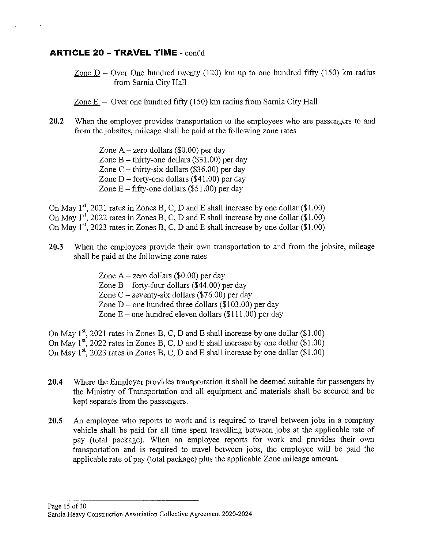#### **ARTICLE 20 -TRAVEL TIME** - cont'd

 $\bar{\rm{t}}$ 

Zone  $D -$  Over One hundred twenty (120) km up to one hundred fifty (150) km radius from Samia City Hall

- Zone  $E -$  Over one hundred fifty (150) km radius from Sarnia City Hall
- **20.2** When the employer provides transportation to the employees who are passengers to and from the jobsites, mileage shall be paid at the following zone rates
	- Zone  $A$  zero dollars (\$0.00) per day Zone  $B$  – thirty-one dollars (\$31.00) per day Zone C – thirty-six dollars (\$36.00) per day Zone  $D$  – forty-one dollars (\$41.00) per day Zone  $E - f$ ifty-one dollars (\$51.00) per day

On May  $1^{st}$ , 2021 rates in Zones B, C, D and E shall increase by one dollar (\$1.00) On May  $1^{st}$ , 2022 rates in Zones B, C, D and E shall increase by one dollar (\$1.00) On May  $1^{st}$ , 2023 rates in Zones B, C, D and E shall increase by one dollar (\$1.00)

- **20.3** When the employees provide their own transportation to and from the jobsite, mileage shall be paid at the following zone rates
	- Zone  $A$  zero dollars (\$0.00) per day Zone  $B -$  forty-four dollars (\$44.00) per day Zone  $C$  – seventy-six dollars (\$76.00) per day Zone  $D$  – one hundred three dollars (\$103.00) per day Zone  $E$  – one hundred eleven dollars (\$111.00) per day

On May  $1^{st}$ , 2021 rates in Zones B, C, D and E shall increase by one dollar (\$1.00) On May  $1^{st}$ , 2022 rates in Zones B, C, D and E shall increase by one dollar (\$1.00) On May  $1^{st}$ , 2023 rates in Zones B, C, D and E shall increase by one dollar (\$1.00)

- **20.4** Where the Employer provides transportation it shall be deemed suitable for passengers by the Ministry of Transportation and all equipment and materials shall be secured and be kept separate from the passengers.
- **20.5** An employee who reports to work and is required to travel between jobs in a company vehicle shall be paid for all time spent travelling between jobs at the applicable rate of pay (total package). When an employee reports for work and provides their own transportation and is required to travel between jobs, the employee will be paid the applicable rate of pay (total package) plus the applicable Zone mileage amount.

Page 15 of30 Samia Heavy Construction Association Collective Agreement 2020-2024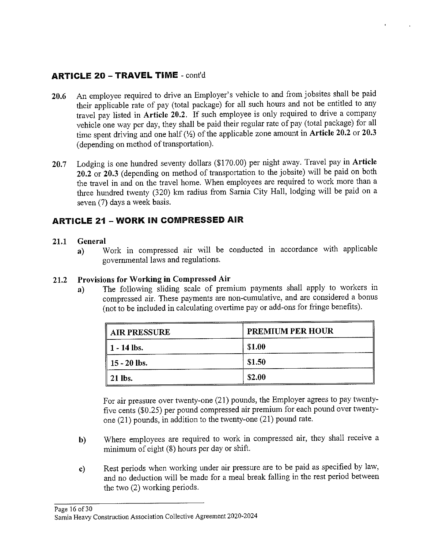## **ARTICLE 20 -TRAVEL TIME** - cont'd

- **20.6** An employee required to drive an Employer's vehicle to and from jobsites shall be paid their applicable rate of pay (total package) for all such hours and not be entitled to any travel pay listed in **Article 20.2.** If such employee is only required to drive a company vehicle one way per day, they shall be paid their regular rate of pay (total package) for all time spent driving and one half(½) of the applicable zone amount in **Article 20.2 or 20.3**  (depending on method of transportation).
- **20.7** Lodging is one hundred seventy dollars (\$170.00) per night away. Travel pay in **Article 20.2 or 20.3** ( depending on method of transportation to the jobsite) will be paid on both the travel in and on the travel home. When employees are required to work more than a three hundred twenty (320) km radius from Sarnia City Hall, lodging will be paid on a seven (7) days a week basis.

## **ARTICLE 21 - WORK IN COMPRESSED AIR**

#### **21.1 General**

**a)** Work in compressed air will be conducted m accordance with applicable governmental laws and regulations.

## **21.2 Provisions for Working in Compressed Air**

**a)** The following sliding scale of premium payments shall apply to workers in compressed air. These payments are non-cumulative, and are considered a bonus (not to be included in calculating overtime pay or add-ons for fringe benefits).

| <b>AIR PRESSURE</b>      | <b>PREMIUM PER HOUR</b> |
|--------------------------|-------------------------|
| $\parallel$ 1 - 14 lbs.  | \$1.00                  |
| $\parallel$ 15 - 20 lbs. | \$1.50                  |
| $\parallel$ 21 lbs.      | \$2.00                  |

For air pressure over twenty-one (21) pounds, the Employer agrees to pay twentyfive cents (\$0.25) per pound compressed air premium for each pound over twentyone (21) pounds, in addition to the twenty-one (21) pound rate.

- **b)** Where employees are required to work in compressed air, they shall receive a minimum of eight (8) hours per day or shift.
- **c)** Rest periods when working under air pressure are to be paid as specified by law, and no deduction will be made for a meal break falling in the rest period between the two (2) working periods.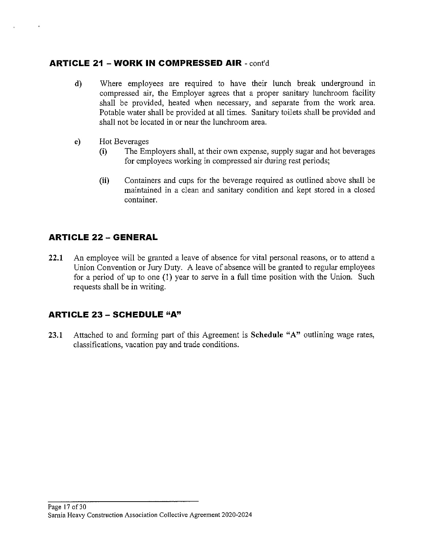## **ARTICLE 21 - WORK IN COMPRESSED AIR** - cont'd

- **d)** Where employees are required to have their lunch break underground in compressed air, the Employer agrees that a proper sanitary lunchroom facility shall be provided, heated when necessary, and separate from the work area. Potable water shall be provided at all times. Sanitary toilets shall be provided and shall not be located in or near the lunchroom area.
- e) Hot Beverages

 $\ddot{\phantom{a}}$ 

- **(i)** The Employers shall, at their own expense, supply sugar and hot beverages for employees working in compressed air during rest periods;
- **(ii)** Containers and cups for the beverage required as outlined above shall be maintained in a clean and sanitary condition and kept stored in a closed container.

## **ARTICLE 22 - GENERAL**

**22.1** An employee will be granted a leave of absence for vital personal reasons, or to attend a Union Convention or Jury Duty. A leave of absence will be granted to regular employees for a period of up to one (I) year to serve in a full time position with the Union. Such requests shall be in writing.

## **ARTICLE 23 - SCHEDULE "A"**

**23.1** Attached to and forming part of this Agreement is **Schedule "A"** outlining wage rates, classifications, vacation pay and trade conditions.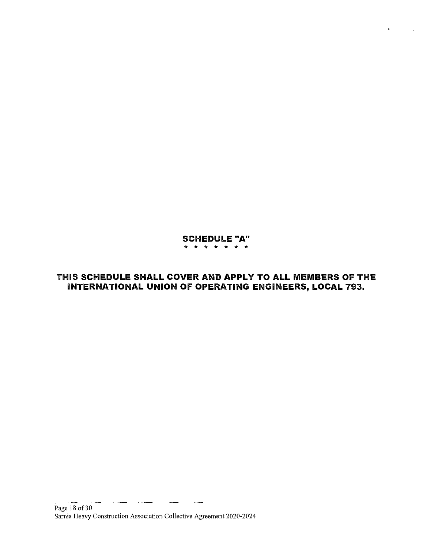#### **SCHEDULE "A"**  \* \* \* \* \* \* \*

 $\ddot{\ast}$ 

## **THIS SCHEDULE SHALL COVER AND APPLY TO ALL MEMBERS OF THE INTERNATIONAL UNION OF OPERATING ENGINEERS, LOCAL 793.**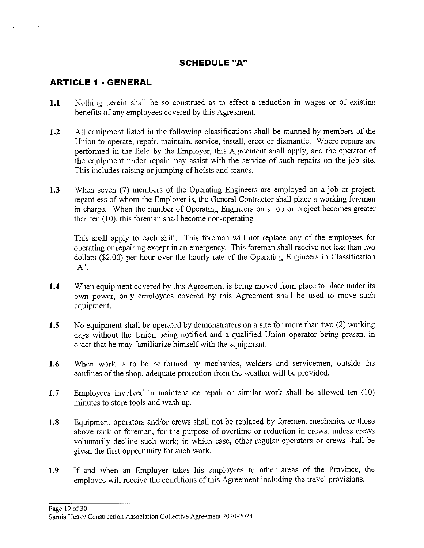## **SCHEDULE "A"**

## **ARTICLE 1 • GENERAL**

 $\overline{1}$ 

- **1.1** Nothing herein shall be so construed as to effect a reduction in wages or of existing benefits of any employees covered by this Agreement.
- **1.2** All equipment listed in the following classifications shall be manned by members of the Union to operate, repair, maintain, service, install, erect or dismantle. Where repairs are performed in the field by the Employer, this Agreement shall apply, and the operator of the equipment under repair may assist with the service of such repairs on the job site. This includes raising or jumping of hoists and cranes.
- **1.3** When seven (7) members of the Operating Engineers are employed on a job or project, regardless of whom the Employer is, the General Contractor shall place a working foreman in charge. When the number of Operating Engineers on a job or project becomes greater than ten  $(10)$ , this foreman shall become non-operating.

This shall apply to each shift. This foreman will not replace any of the employees for operating or repairing except in an emergency. This foreman shall receive not less than two dollars (\$2.00) per hour over the hourly rate of the Operating Engineers in Classification **nA11.** 

- **1.4** When equipment covered by this Agreement is being moved from place to place under its own power, only employees covered by this Agreement shall be used to move such equipment.
- **1.5** No equipment shall be operated by demonstrators on a site for more than two (2) working days without the Union being notified and a qualified Union operator being present in order that he may familiarize himself with the equipment.
- **1.6** When work is to be performed by mechanics, welders and servicemen, outside the confines of the shop, adequate protection from the weather will be provided.
- **1.7** Employees involved in maintenance repair or similar work shall be allowed ten (10) minutes to store tools and wash up.
- **1.8** Equipment operators and/or crews shall not be replaced by foremen, mechanics or those above rank of foreman, for the purpose of overtime or reduction in crews, unless crews voluntarily decline such work; in which case, other regular operators or crews shall be given the first opportunity for such work.
- **1.9** If and when an Employer takes his employees to other areas of the Province, the employee will receive the conditions of this Agreement including the travel provisions.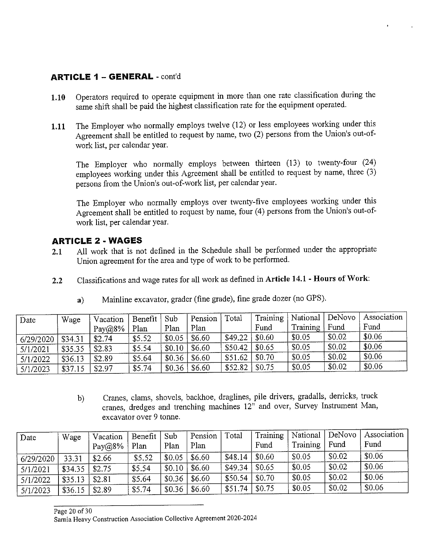## **ARTICLE 1** - **GENERAL** - cont'd

- **1.10** Operators required to operate equipment in more than one rate classification during the same shift shall be paid the highest classification rate for the equipment operated.
- **1.11** The Employer who normally employs twelve (12) or less employees working under this Agreement shall be entitled to request by name, two (2) persons from the Union's out-ofwork list, per calendar year.

The Employer who normally employs between thirteen (13) to twenty-four (24) employees working under this Agreement shall be entitled to request by name, three (3) persons from the Union's out-of-work list, per calendar year.

The Employer who normally employs over twenty-five employees working under this Agreement shall be entitled to request by name, four (4) persons from the Union's out-ofwork list, per calendar year.

## **ARTICLE 2 - WAGES**

- **2.1** All work that is not defined in the Schedule shall be performed under the appropriate Union agreement for the area and type of work to be performed.
- **2.2** Classifications and wage rates for all work as defined in **Article 14.1- Hours of Work:**

| Date      | Wage    | Vacation  | Benefit | Sub    | Pension | Total   | Training | National | DeNovo | Association |
|-----------|---------|-----------|---------|--------|---------|---------|----------|----------|--------|-------------|
|           |         | $Pay@8\%$ | Plan    | Plan   | Plan    |         | Fund     | Training | Fund   | Fund        |
| 6/29/2020 | \$34.31 | \$2.74    | \$5.52  | \$0.05 | \$6.60  | \$49.22 | \$0.60   | \$0.05   | \$0.02 | \$0.06      |
| 5/1/2021  | \$35.35 | \$2.83    | \$5.54  | \$0.10 | \$6.60  | \$50.42 | \$0.65   | \$0.05   | \$0.02 | \$0.06      |
| 5/1/2022  | \$36.13 | \$2.89    | \$5.64  | \$0.36 | \$6.60  | \$51.62 | \$0.70   | \$0.05   | \$0.02 | \$0.06      |
| 5/1/2023  | \$37.15 | \$2.97    | \$5.74  | \$0.36 | \$6.60  | \$52.82 | \$0.75   | \$0.05   | \$0.02 | \$0.06      |

**a)** Mainline excavator, grader (fine grade), fine grade dozer (no GPS).

b) Cranes, clams, shovels, backhoe, draglines, pile drivers, gradalls, derricks, truck cranes, dredges and trenching machines 12" and over, Survey Instrument Man, excavator over 9 tonne.

| Date      | Wage    | Vacation<br>$Pay@8\%$ | Benefit<br>Plan | Sub<br>Plan | Pension<br>Plan | Total   | Training<br>Fund | National<br>Training | DeNovo<br>Fund | Association  <br>Fund |
|-----------|---------|-----------------------|-----------------|-------------|-----------------|---------|------------------|----------------------|----------------|-----------------------|
| 6/29/2020 | 33.31   | \$2.66                | \$5.52          | \$0.05      | \$6.60          | \$48.14 | \$0.60           | \$0.05               | \$0.02         | \$0.06                |
| 5/1/2021  | \$34.35 | \$2.75                | \$5.54          | \$0.10      | \$6.60          | \$49.34 | \$0.65           | \$0.05               | \$0.02         | \$0.06                |
| 5/1/2022  | \$35.13 | \$2.81                | \$5.64          | \$0.36      | \$6.60          | \$50.54 | \$0.70           | \$0.05               | \$0.02         | \$0.06                |
| 5/1/2023  | \$36.15 | \$2.89                | \$5.74          | \$0.36      | \$6.60          | \$51.74 | \$0.75           | \$0.05               | \$0.02         | \$0.06                |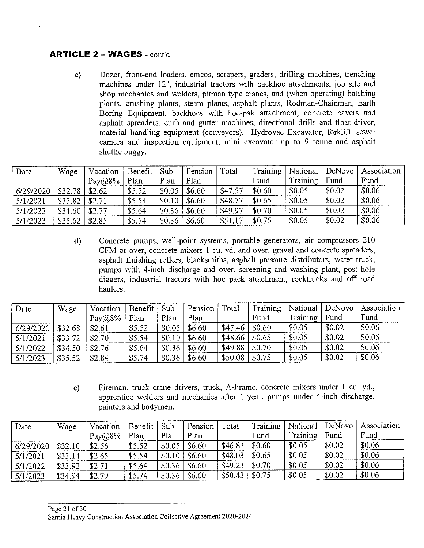#### **ARTICLE 2** - **WAGES** - cont'd

c) Dozer, front-end loaders, emcos, scrapers, graders, drilling machines, trenching machines under 12", industrial tractors with backhoe attachments, job site and shop mechanics and welders, pitman type cranes, and (when operating) batching plants, crushing plants, steam plants, asphalt plants, Rodman-Chainman, Earth Boring Equipment, backhoes with hoe-pak attachment, concrete pavers and asphalt spreaders, curb and gutter machines, directional drills and float driver, material handling equipment (conveyors), Hydrovac Excavator, forklift, sewer camera and inspection equipment, mini excavator up to 9 tonne and asphalt shuttle buggy.

| Date      | Wage    | Vacation | Benefit Sub |        | Pension | Total   | Training |          |        | National   DeNovo   Association |
|-----------|---------|----------|-------------|--------|---------|---------|----------|----------|--------|---------------------------------|
|           |         | Pay@8%   | Plan        | Plan   | Plan    |         | Fund     | Training | Fund   | Fund                            |
| 6/29/2020 | \$32.78 | \$2.62   | \$5.52      | \$0.05 | \$6.60  | \$47.57 | \$0.60   | \$0.05   | \$0.02 | \$0.06                          |
| 5/1/2021  | \$33.82 | \$2.71   | \$5.54      | \$0.10 | \$6.60  | \$48.77 | \$0.65   | \$0.05   | \$0.02 | \$0.06                          |
| 5/1/2022  | \$34.60 | \$2.77   | \$5.64      | \$0.36 | \$6.60  | \$49.97 | \$0.70   | \$0.05   | \$0.02 | \$0.06                          |
| 5/1/2023  | \$35.62 | \$2.85   | \$5.74      | \$0.36 | \$6.60  | \$51.17 | \$0.75   | \$0.05   | \$0.02 | \$0.06                          |

d) Concrete pumps, well-point systems, portable generators, air compressors 210 CFM or over, concrete mixers I cu. yd. and over, gravel and concrete spreaders, asphalt finishing rollers, blacksmiths, asphalt pressure distributors, water truck, pumps with 4-inch discharge and over, screening and washing plant, post hole diggers, industrial tractors with hoe pack attachment, rocktrucks and off road haulers.

| Date      | Wage    | Vacation  | Benefit | Sub    | Pension | Total               | Training       |          | National   DeNovo | Association |
|-----------|---------|-----------|---------|--------|---------|---------------------|----------------|----------|-------------------|-------------|
|           |         | $Pay@8\%$ | Plan    | Plan   | Plan    |                     | Fund           | Training | Fund              | Fund        |
| 6/29/2020 | \$32.68 | \$2.61    | \$5.52  | \$0.05 | \$6.60  | \$47.46             | $\sqrt{50.60}$ | \$0.05   | \$0.02            | \$0.06      |
| 5/1/2021  | \$33.72 | \$2.70    | \$5.54  | \$0.10 | \$6.60  | $$48.66 \mid $0.65$ |                | \$0.05   | \$0.02            | \$0.06      |
| 5/1/2022  | \$34.50 | \$2.76    | \$5.64  | \$0.36 | \$6.60  | \$49.88             | \$0.70         | \$0.05   | \$0.02            | \$0.06      |
| 5/1/2023  | \$35.52 | \$2.84    | \$5.74  | \$0.36 | \$6.60  | \$50.08             | \$0.75         | \$0.05   | \$0.02            | \$0.06      |

e) Fireman, truck crane drivers, truck, A-Frame, concrete mixers under I cu. yd., apprentice welders and mechanics after I year, pumps under 4-inch discharge, painters and bodymen.

| Date      | Wage    | Vacation  | Benefit | Sub    | Pension | Total   | Training | National | DeNovo | Association |
|-----------|---------|-----------|---------|--------|---------|---------|----------|----------|--------|-------------|
|           |         | $Pay@8\%$ | Plan    | Plan   | Plan    |         | Fund     | Training | Fund   | Fund        |
| 6/29/2020 | \$32.10 | \$2.56    | \$5.52  | \$0.05 | \$6.60  | \$46.83 | \$0.60   | \$0.05   | \$0.02 | \$0.06      |
| 5/1/2021  | \$33.14 | \$2.65    | \$5.54  | \$0.10 | \$6.60  | \$48.03 | \$0.65   | \$0.05   | \$0.02 | \$0.06      |
| 5/1/2022  | \$33.92 | \$2.71    | \$5.64  | \$0.36 | \$6.60  | \$49.23 | \$0.70   | \$0.05   | \$0.02 | \$0.06      |
| 5/1/2023  | \$34.94 | \$2.79    | \$5.74  | \$0.36 | \$6.60  | \$50.43 | \$0.75   | \$0.05   | \$0.02 | \$0.06      |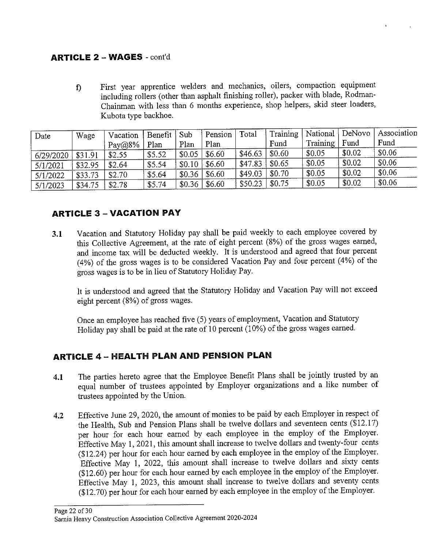## **ARTICLE 2 - WAGES** - cont'd

f) First year apprentice welders and mechanics, oilers, compaction equipment including rollers ( other than asphalt finishing roller), packer with blade, Rodman-Chainman with less than 6 months experience, shop helpers, skid steer loaders, Kubota type backhoe.

| Date      | Wage    | Vacation  | Benefit | Sub    | Pension | Total   | Training | National | $\vert$ DeNovo | Association |
|-----------|---------|-----------|---------|--------|---------|---------|----------|----------|----------------|-------------|
|           |         | $Pay@8\%$ | Plan    | Plan   | Plan    |         | Fund     | Training | Fund           | Fund        |
| 6/29/2020 | \$31.91 | \$2.55    | \$5.52  | \$0.05 | \$6.60  | \$46.63 | \$0.60   | \$0.05   | \$0.02         | \$0.06      |
| 5/1/2021  | \$32.95 | \$2.64    | \$5.54  | \$0.10 | \$6.60  | \$47.83 | \$0.65   | \$0.05   | \$0.02         | \$0.06      |
| 5/1/2022  | \$33.73 | \$2.70    | \$5.64  | \$0.36 | \$6.60  | \$49.03 | \$0.70   | \$0.05   | \$0.02         | \$0.06      |
| 5/1/2023  | \$34.75 | \$2.78    | \$5.74  | \$0.36 | \$6.60  | \$50.23 | \$0.75   | \$0.05   | \$0.02         | \$0.06      |

## **ARTICLE 3 - VACATION PAY**

**3.1** Vacation and Statutory Holiday pay shall be paid weekly to each employee covered by this Collective Agreement, at the rate of eight percent (8%) of the gross wages earned, and income tax will be deducted weekly. It is understood and agreed that four percent (4%) of the gross wages is to be considered Vacation Pay and four percent (4%) of the gross wages is to be in lieu of Statutory Holiday Pay.

It is understood and agreed that the Statutory Holiday and Vacation Pay will not exceed eight percent (8%) of gross wages.

Once an employee has reached five (5) years of employment, Vacation and Statutory Holiday pay shall be paid at the rate of 10 percent (10%) of the gross wages earned.

## **ARTICLE 4** - **HEAL TH PLAN AND PENSION PLAN**

- **4.1** The parties hereto agree that the Employee Benefit Plans shall be jointly trusted by an equal number of trustees appointed by Employer organizations and a like number of trustees appointed by the Union.
- **4.2** Effective June 29, 2020, the amount of monies to be paid by each Employer in respect of the Health, Sub and Pension Plans shall be twelve dollars and seventeen cents (\$12.17) per hour for each hour earned by each employee in the employ of the Employer. Effective May 1, 2021, this amount shall increase to twelve dollars and twenty-four cents (\$12.24) per hour for each hour earned by each employee in the employ of the Employer. Effective May 1, 2022, this amount shall increase to twelve dollars and sixty cents (\$12.60) per hour for each hour earned by each employee in the employ of the Employer. Effective May 1, 2023, this amount shall increase to twelve dollars and seventy cents (\$12.70) per hour for each hour earned by each employee in the employ of the Employer.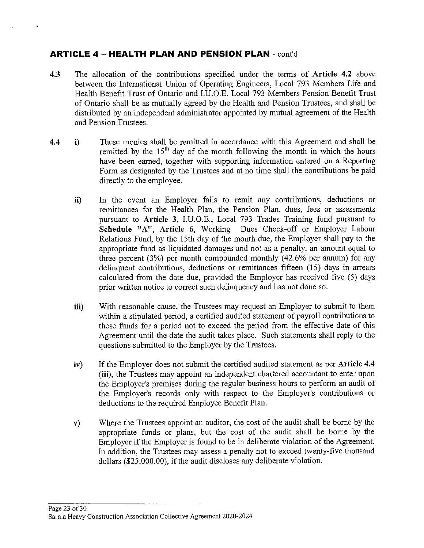- **4.3** The allocation of the contributions specified under the terms of **Article 4.2** above between the International Union of Operating Engineers, Local 793 Members Life and Health Benefit Trust of Ontario and I.U.O.E. Local 793 Members Pension Benefit Trust of Ontario shall be as mutually agreed by the Health and Pension Trustees, and shall be distributed by an independent administrator appointed by mutual agreement of the Health and Pension Trustees.
- **4.4 i)** These monies shall be remitted in accordance with this Agreement and shall be remitted by the  $15<sup>th</sup>$  day of the month following the month in which the hours have been earned, together with supporting information entered on a Reporting Form as designated by the Trustees and at no time shall the contributions be paid directly to the employee.
	- **ii)** In the event an Employer fails to remit any contributions, deductions or remittances for the Health Plan, the Pension Plan, dues, fees or assessments pursuant to **Article 3,** I.U.O.E., Local 793 Trades Training fund pursuant to **Schedule "A", Article 6,** Working Dues Check-off or Employer Labour Relations Fund, by the 15th day of the month due, the Employer shall pay to the appropriate fund as liquidated damages and not as a penalty, an amount equal to three percent (3%) per month compounded monthly (42.6% per annum) for any delinquent contributions, deductions or remittances fifteen (15) days in arrears calculated from the date due, provided the Employer has received five (5) days prior written notice to correct such delinquency and has not done so.
	- **iii)** With reasonable cause, the Trustees may request an Employer to submit to them within a stipulated period, a certified audited statement of payroll contributions to these funds for a period not to exceed the period from the effective date of this Agreement until the date the audit takes place. Such statements shall reply to the questions submitted to the Employer by the Trustees.
	- **iv)** If the Employer does not submit the certified audited statement as per Article 4.4 **(iii),** the Trustees may appoint an independent chartered accountant to enter upon the Employer's premises during the regular business hours to perform an audit of the Employer's records only with respect to the Employer's contributions or deductions to the required Employee Benefit Plan.
	- **v)** Where the Trustees appoint an auditor, the cost of the audit shall be borne by the appropriate funds or plans, but the cost of the audit shall be borne by the Employer if the Employer is found to be in deliberate violation of the Agreement. In addition, the Trustees may assess a penalty not to exceed twenty-five thousand dollars (\$25,000.00), if the audit discloses any deliberate violation.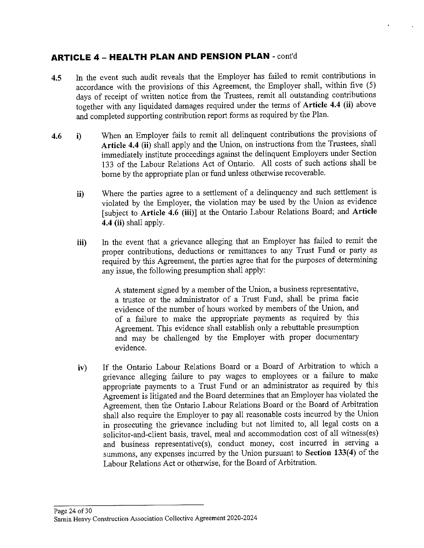- **4.5** In the event such audit reveals that the Employer has failed to remit contributions in accordance with the provisions of this Agreement, the Employer shall, within five (5) days of receipt of written notice from the Trustees, remit all outstanding contributions together with any liquidated damages required under the terms of **Article 4.4 (ii)** above and completed supporting contribution report forms as required by the Plan.
- **4.6 i)** When an Employer fails to remit all delinquent contributions the provisions of **Article 4.4 (ii)** shall apply and the Union, on instructions from the Trustees, shall immediately institute proceedings against the delinquent Employers under Section 133 of the Labour Relations Act of Ontario. All costs of such actions shall be borne by the appropriate plan or fund unless otherwise recoverable.
	- **ii)** Where the parties agree to a settlement of a delinquency and such settlement is violated by the Employer, the violation may be used by the Union as evidence [subject to **Article 4.6 (iii)]** at the Ontario Labour Relations Board; and **Article 4.4 (ii)** shall apply.
	- **iii)** In the event that a grievance alleging that an Employer has failed to remit the proper contributions, deductions or remittances to any Trust Fund or party as required by this Agreement, the parties agree that for the purposes of determining any issue, the following presumption shall apply:

A statement signed by a member of the Union, a business representative, a trustee or the administrator of a Trust Fund, shall be prima facie evidence of the number of hours worked by members of the Union, and of a failure to make the appropriate payments as required by this Agreement. This evidence shall establish only a rebuttable presumption and may be challenged by the Employer with proper documentary evidence.

**iv)** If the Ontario Labour Relations Board or a Board of Arbitration to which a grievance alleging failure to pay wages to employees or a failure to make appropriate payments to a Trust Fund or an administrator as required by this Agreement is litigated and the Board determines that an Employer has violated the Agreement, then the Ontario Labour Relations Board or the Board of Arbitration shall also require the Employer to pay all reasonable costs incurred by the Union in prosecuting the grievance including but not limited to, all legal costs on a solicitor-and-client basis, travel, meal and accommodation cost of all witness(es) and business representative(s), conduct money, cost incurred in serving a summons, any expenses incurred by the Union pursuant to Section 133(4) of the Labour Relations Act or otherwise, for the Board of Arbitration.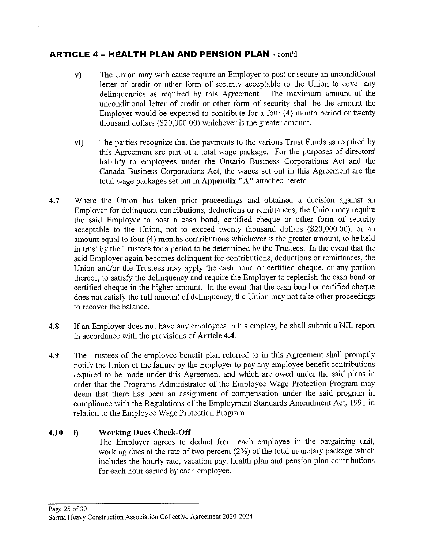- **v)** The Union may with cause require an Employer to post or secure an unconditional letter of credit or other form of security acceptable to the Union to cover any delinquencies as required by this Agreement. The maximum amount of the unconditional letter of credit or other form of security shall be the amount the Employer would be expected to contribute for a four (4) month period or twenty thousand dollars (\$20,000.00) whichever is the greater amount.
- **vi)** The parties recognize that the payments to the various Trust Funds as required by this Agreement are part of a total wage package. For the purposes of directors' liability to employees under the Ontario Business Corporations Act and the Canada Business Corporations Act, the wages set out in this Agreement are the total wage packages set out in **Appendix "A"** attached hereto.
- 4.7 Where the Union has taken prior proceedings and obtained a decision against an Employer for delinquent contributions, deductions or remittances, the Union may require the said Employer to post a cash bond, certified cheque or other form of security acceptable to the Union, not to exceed twenty thousand dollars (\$20,000.00), or an amount equal to four (4) months contributions whichever is the greater amount, to be held in trust by the Trustees for a period to be determined by the Trustees. In the event that the said Employer again becomes delinquent for contributions, deductions or remittances, the Union and/or the Trustees may apply the cash bond or certified cheque, or any portion thereof, to satisfy the delinquency and require the Employer to replenish the cash bond or certified cheque in the higher amount. In the event that the cash bond or certified cheque does not satisfy the full amount of delinquency, the Union may not take other proceedings to recover the balance.
- **4.8** If an Employer does not have any employees in his employ, he shall submit a NIL report in accordance with the provisions of **Article 4.4.**
- **4.9** The Trustees of the employee benefit plan referred to in this Agreement shall promptly notify the Union of the failure by the Employer to pay any employee benefit contributions required to be made under this Agreement and which are owed under the said plans in order that the Programs Administrator of the Employee Wage Protection Program may deem that there has been an assignment of compensation under the said program in compliance with the Regulations of the Employment Standards Amendment Act, 1991 in relation to the Employee Wage Protection Program.

#### **4.10 i) Working Dues Check-Off**

The Employer agrees to deduct from each employee in the bargaining unit, working dues at the rate of two percent (2%) of the total monetary package which includes the hourly rate, vacation pay, health plan and pension plan contributions for each hour earned by each employee.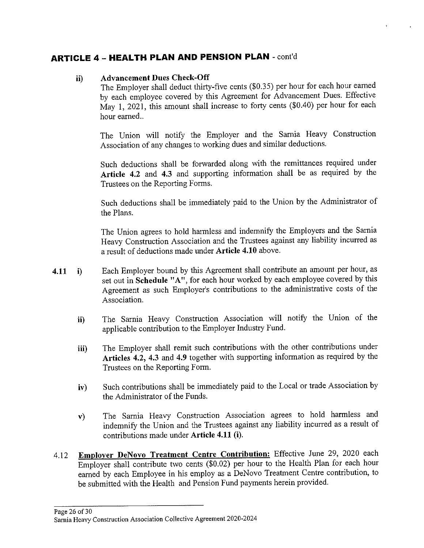#### **ii) Advancement Dues Check-Off**

The Employer shall deduct thirty-five cents (\$0.35) per hour for each hour earned by each employee covered by this Agreement for Advancement Dues. Effective May 1, 2021, this amount shall increase to forty cents (\$0.40) per hour for each hour earned..

The Union will notify the Employer and the Sarnia Heavy Construction Association of any changes to working dues and similar deductions.

Such deductions shall be forwarded along with the remittances required under **Article 4.2 and 4.3** and supporting information shall be as required by the Trustees on the Reporting Forms.

Such deductions shall be immediately paid to the Union by the Administrator of the Plans.

The Union agrees to hold harmless and indemnify the Employers and the Sarnia Heavy Construction Association and the Trustees against any liability incurred as a result of deductions made under **Article 4.10** above.

- **4.11 i)**  Each Employer bound by this Agreement shall contribute an amount per hour, as set out in **Schedule "A",** for each hour worked by each employee covered by this Agreement as such Employer's contributions to the administrative costs of the Association.
	- **ii)** The Sarnia Heavy Construction Association will notify the Union of the applicable contribution to the Employer Industry Fund.
	- **iii)** The Employer shall remit such contributions with the other contributions under **Articles 4.2, 4.3** and **4.9** together with supporting information as required by the Trustees on the Reporting Form.
	- **iv)** Such contributions shall be immediately paid to the Local or trade Association by the Administrator of the Funds.
	- **v)** The Sarnia Heavy Construction Association agrees to hold harmless and indemnify the Union and the Trustees against any liability incurred as a result of contributions made under **Article 4.11 (i).**
- 4.12 **Employer DeNovo Treatment Centre Contribution:** Effective June 29, 2020 each Employer shall contribute two cents (\$0.02) per hour to the Health Plan for each hour earned by each Employee in his employ as a DeNovo Treatment Centre contribution, to be submitted with the Health and Pension Fund payments herein provided.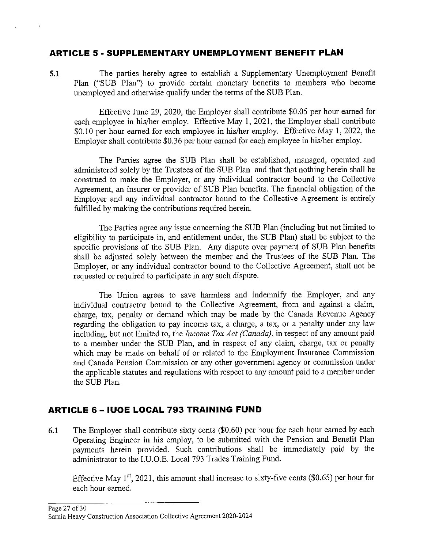#### **ARTICLE 5 • SUPPLEMENTARY UNEMPLOYMENT BENEFIT PLAN**

**5.1** The parties hereby agree to establish a Supplementary Unemployment Benefit Plan ("SUB Plan") to provide certain monetary benefits to members who become unemployed and otherwise qualify under the terms of the SUB Plan.

Effective June 29, 2020, the Employer shall contribute \$0.05 per hour earned for each employee in his/her employ. Effective May 1, 2021, the Employer shall contribute \$0. 10 per hour earned for each employee in his/her employ. Effective May 1, 2022, the Employer shall contribute \$0.36 per hour earned for each employee in his/her employ.

The Parties agree the SUB Plan shall be established, managed, operated and administered solely by the Trustees of the SUB Plan and that that nothing herein shall be construed to make the Employer, or any individual contractor bound to the Collective Agreement, an insurer or provider of SUB Plan benefits. The financial obligation of the Employer and any individual contractor bound to the Collective Agreement is entirely fulfilled by making the contributions required herein.

The Parties agree any issue concerning the SUB Plan (including but not limited to eligibility to participate in, and entitlement under, the SUB Plan) shall be subject to the specific provisions of the SUB Plan. Any dispute over payment of SUB Plan benefits shall be adjusted solely between the member and the Trustees of the SUB Plan. The Employer, or any individual contractor bound to the Collective Agreement, shall not be requested or required to participate in any such dispute.

The Union agrees to save harmless and indemnify the Employer, and any individual contractor bound to the Collective Agreement, from and against a claim, charge, tax, penalty or demand which may be made by the Canada Revenue Agency regarding the obligation to pay income tax, a charge, a tax, or a penalty under any law including, but not limited to, the *Income Tax Act (Canada),* in respect of any amount paid to a member under the SUB Plan, and in respect of any claim, charge, tax or penalty which may be made on behalf of or related to the Employment Insurance Commission and Canada Pension Commission or any other government agency or commission under the applicable statutes and regulations with respect to any amount paid to a member under the SUB Plan.

## **ARTICLE 6 - IUOE LOCAL 793 TRAINING FUND**

**6.1** The Employer shall contribute sixty cents (\$0.60) per hour for each hour earned by each Operating Engineer in his employ, to be submitted with the Pension and Benefit Plan payments herein provided. Such contributions shall be immediately paid by the administrator to the I.U.O.E. Local 793 Trades Training Fund.

Effective May  $1^{st}$ , 2021, this amount shall increase to sixty-five cents (\$0.65) per hour for each hour earned.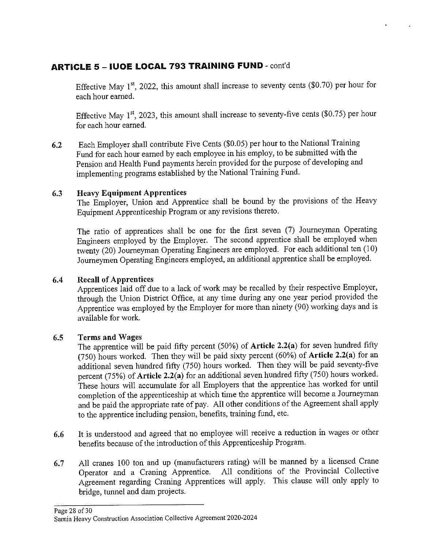## **ARTICLE 5 - IUOE LOCAL 793 TRAINING FUND** - cont'd

Effective May  $1^{st}$ , 2022, this amount shall increase to seventy cents (\$0.70) per hour for each hour earned.

Effective May 1<sup>st</sup>, 2023, this amount shall increase to seventy-five cents (\$0.75) per hour for each hour earned.

**6.2** Each Employer shall contribute Five Cents (\$0.05) per hour to the National Training Fund for each hour earned by each employee in his employ, to be submitted with the Pension and Health Fund payments herein provided for the purpose of developing and implementing programs established by the National Training Fund.

#### **6.3 Heavy Equipment Apprentices**

The Employer, Union and Apprentice shall be bound by the provisions of the Heavy Equipment Apprenticeship Program or any revisions thereto.

The ratio of apprentices shall be one for the first seven (7) Journeyman Operating Engineers employed by the Employer. The second apprentice shall be employed when twenty (20) Journeyman Operating Engineers are employed. For each additional ten (10) Journeymen Operating Engineers employed, an additional apprentice shall be employed.

#### **6.4 Recall of Apprentices**

Apprentices laid off due to a lack of work may be recalled by their respective Employer, through the Union District Office, at any time during any one year period provided the Apprentice was employed by the Employer for more than ninety (90) working days and is available for work.

#### **6.5 Terms and Wages**

The apprentice will be paid fifty percent (50%) of **Article 2.2(a)** for seven hundred fifty (750) hours worked. Then they will be paid sixty percent (60%) of **Article 2.2(a)** for an additional seven hundred fifty (750) hours worked. Then they will be paid seventy-five percent (75%) of **Article 2.2(a)** for an additional seven hundred fifty (750) hours worked. These hours will accumulate for all Employers that the apprentice has worked for until completion of the apprenticeship at which time the apprentice will become a Journeyman and be paid the appropriate rate of pay. All other conditions of the Agreement shall apply to the apprentice including pension, benefits, training fund, etc.

- **6.6** It is understood and agreed that no employee will receive a reduction in wages or other benefits because of the introduction of this Apprenticeship Program.
- **6.7** All cranes 100 ton and up (manufacturers rating) will be manned by a licensed Crane Operator and a Craning Apprentice. All conditions of the Provincial Collective Agreement regarding Craning Apprentices will apply. This clause will only apply to bridge, tunnel and dam projects.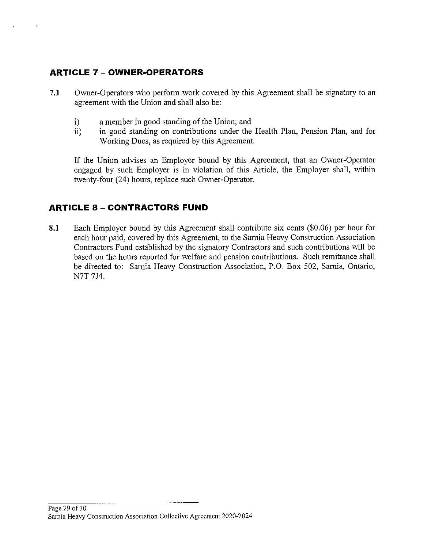## **ARTICLE 7** - **OWNER-OPERATORS**

 $\bar{\psi}$ 

- **7.1** Owner-Operators who perform work covered by this Agreement shall be signatory to an agreement with the Union and shall also be:
	- i) a member in good standing of the Union; and
	- ii) in good standing on contributions under the Health Plan, Pension Plan, and for Working Dues, as required by this Agreement.

If the Union advises an Employer bound by this Agreement, that an Owner-Operator engaged by such Employer is in violation of this Article, the Employer shall, within twenty-four (24) hours, replace such Owner-Operator.

## **ARTICLE 8 - CONTRACTORS FUND**

**8.1** Each Employer bound by this Agreement shall contribute six cents (\$0.06) per hour for each hour paid, covered by this Agreement, to the Samia Heavy Construction Association Contractors Fund established by the signatory Contractors and such contributions will be based on the hours reported for welfare and pension contributions. Such remittance shall be directed to: Sarnia Heavy Construction Association, P.O. Box 502, Samia, Ontario, N7T *714.*